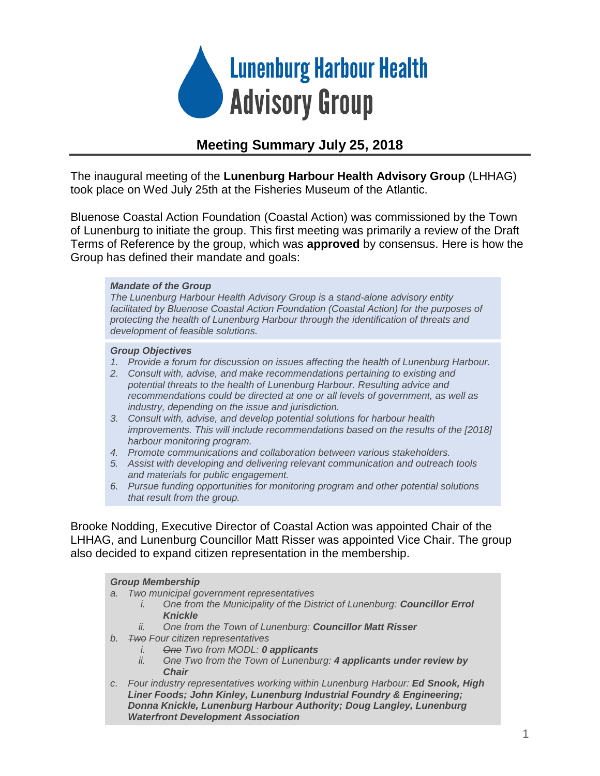

# **Meeting Summary July 25, 2018**

The inaugural meeting of the **Lunenburg Harbour Health Advisory Group** (LHHAG) took place on Wed July 25th at the Fisheries Museum of the Atlantic.

Bluenose Coastal Action Foundation (Coastal Action) was commissioned by the Town of Lunenburg to initiate the group. This first meeting was primarily a review of the Draft Terms of Reference by the group, which was **approved** by consensus. Here is how the Group has defined their mandate and goals:

## *Mandate of the Group*

*The Lunenburg Harbour Health Advisory Group is a stand-alone advisory entity facilitated by Bluenose Coastal Action Foundation (Coastal Action) for the purposes of protecting the health of Lunenburg Harbour through the identification of threats and development of feasible solutions.*

### *Group Objectives*

- *1. Provide a forum for discussion on issues affecting the health of Lunenburg Harbour.*
- *2. Consult with, advise, and make recommendations pertaining to existing and potential threats to the health of Lunenburg Harbour. Resulting advice and recommendations could be directed at one or all levels of government, as well as industry, depending on the issue and jurisdiction.*
- *3. Consult with, advise, and develop potential solutions for harbour health improvements. This will include recommendations based on the results of the [2018] harbour monitoring program.*
- *4. Promote communications and collaboration between various stakeholders.*
- *5. Assist with developing and delivering relevant communication and outreach tools and materials for public engagement.*
- *6. Pursue funding opportunities for monitoring program and other potential solutions that result from the group.*

Brooke Nodding, Executive Director of Coastal Action was appointed Chair of the LHHAG, and Lunenburg Councillor Matt Risser was appointed Vice Chair. The group also decided to expand citizen representation in the membership.

## *Group Membership*

- *a. Two municipal government representatives*
	- *i. One from the Municipality of the District of Lunenburg: Councillor Errol Knickle*
		- *ii. One from the Town of Lunenburg: Councillor Matt Risser*
- *b. Two Four citizen representatives*
	- *i. One Two from MODL: 0 applicants*
	- *ii. One Two from the Town of Lunenburg: 4 applicants under review by Chair*
- *c. Four industry representatives working within Lunenburg Harbour: Ed Snook, High Liner Foods; John Kinley, Lunenburg Industrial Foundry & Engineering; Donna Knickle, Lunenburg Harbour Authority; Doug Langley, Lunenburg Waterfront Development Association*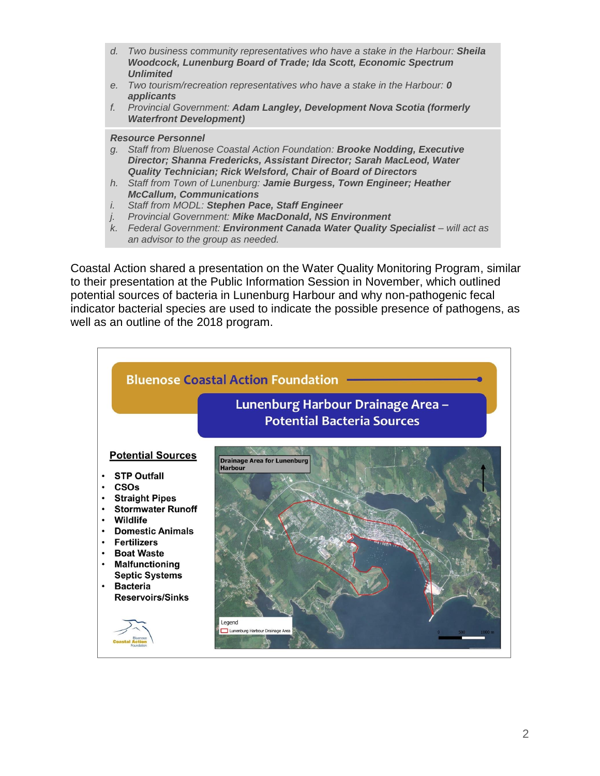- *d. Two business community representatives who have a stake in the Harbour: Sheila Woodcock, Lunenburg Board of Trade; Ida Scott, Economic Spectrum Unlimited*
- *e. Two tourism/recreation representatives who have a stake in the Harbour: 0 applicants*
- *f. Provincial Government: Adam Langley, Development Nova Scotia (formerly Waterfront Development)*

#### *Resource Personnel*

- *g. Staff from Bluenose Coastal Action Foundation: Brooke Nodding, Executive Director; Shanna Fredericks, Assistant Director; Sarah MacLeod, Water Quality Technician; Rick Welsford, Chair of Board of Directors*
- *h. Staff from Town of Lunenburg: Jamie Burgess, Town Engineer; Heather McCallum, Communications*
- *i. Staff from MODL: Stephen Pace, Staff Engineer*
- *j. Provincial Government: Mike MacDonald, NS Environment*
- *k. Federal Government: Environment Canada Water Quality Specialist – will act as an advisor to the group as needed.*

Coastal Action shared a presentation on the Water Quality Monitoring Program, similar to their presentation at the Public Information Session in November, which outlined potential sources of bacteria in Lunenburg Harbour and why non-pathogenic fecal indicator bacterial species are used to indicate the possible presence of pathogens, as well as an outline of the 2018 program.